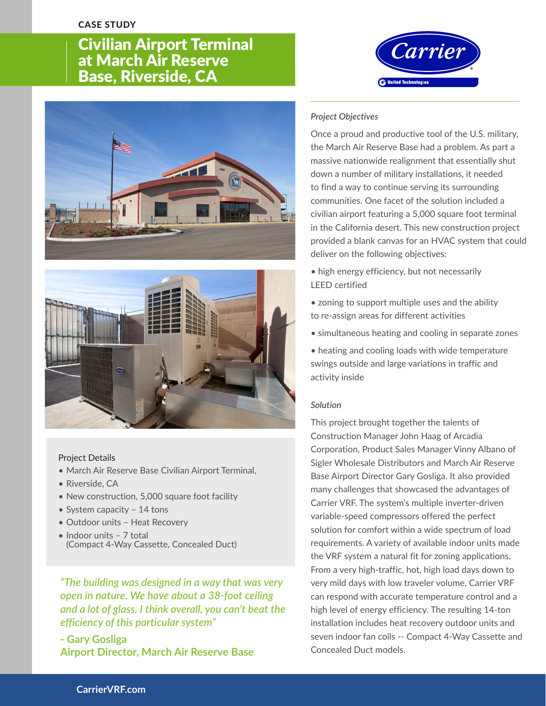## CASE STUDY

# **SINGLE 2018 RESIDENT**<br> **Civilian Airport Terminal** at March Air Reserve Base, Riverside, CA





### Project Details

- March Air Reserve Base Civilian Airport Terminal,
- Riverside, CA
- New construction, 5,000 square foot facility
- System capacity 14 tons
- Outdoor units Heat Recovery
- Indoor units 7 total (Compact 4-Way Cassette, Concealed Duct)

*"The building was designed in a way that was very open in nature. We have about a 38-foot ceiling and a lot of glass. I think overall, you can't beat the efficiency of this particular system"*

**- Gary Gosliga Airport Director, March Air Reserve Base** 



#### *Project Objectives*

Once a proud and productive tool of the U.S. military, the March Air Reserve Base had a problem. As part a massive nationwide realignment that essentially shut down a number of military installations, it needed to find a way to continue serving its surrounding communities. One facet of the solution included a civilian airport featuring a 5,000 square foot terminal in the California desert. This new construction project provided a blank canvas for an HVAC system that could deliver on the following objectives:

- high energy efficiency, but not necessarily LEED certified
- zoning to support multiple uses and the ability to re-assign areas for different activities
- simultaneous heating and cooling in separate zones
- heating and cooling loads with wide temperature swings outside and large variations in traffic and activity inside

#### *Solution*

This project brought together the talents of Construction Manager John Haag of Arcadia Corporation, Product Sales Manager Vinny Albano of Sigler Wholesale Distributors and March Air Reserve Base Airport Director Gary Gosliga. It also provided many challenges that showcased the advantages of Carrier VRF. The system's multiple inverter-driven variable-speed compressors offered the perfect solution for comfort within a wide spectrum of load requirements. A variety of available indoor units made the VRF system a natural fit for zoning applications. From a very high-traffic, hot, high load days down to very mild days with low traveler volume, Carrier VRF can respond with accurate temperature control and a high level of energy efficiency. The resulting 14-ton installation includes heat recovery outdoor units and seven indoor fan coils -- Compact 4-Way Cassette and Concealed Duct models.

## **CarrierVRF.com**